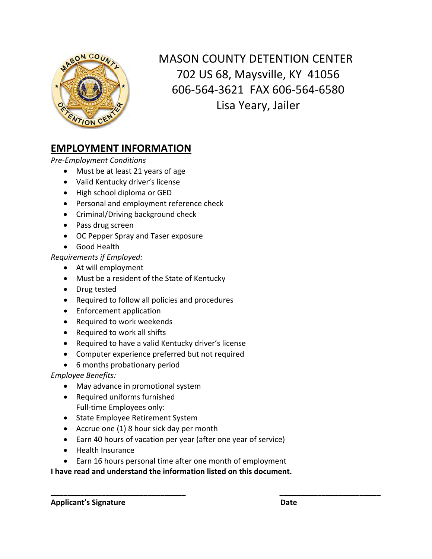

MASON COUNTY DETENTION CENTER 702 US 68, Maysville, KY 41056 606‐564‐3621 FAX 606‐564‐6580 Lisa Yeary, Jailer

# **EMPLOYMENT INFORMATION**

*Pre‐Employment Conditions* 

- Must be at least 21 years of age
- Valid Kentucky driver's license
- High school diploma or GED
- Personal and employment reference check
- Criminal/Driving background check
- Pass drug screen
- OC Pepper Spray and Taser exposure
- Good Health

*Requirements if Employed:* 

- At will employment
- Must be a resident of the State of Kentucky
- Drug tested
- Required to follow all policies and procedures
- Enforcement application
- Required to work weekends
- Required to work all shifts
- Required to have a valid Kentucky driver's license
- Computer experience preferred but not required
- 6 months probationary period

*Employee Benefits:* 

- May advance in promotional system
- Required uniforms furnished Full-time Employees only:
- State Employee Retirement System
- Accrue one (1) 8 hour sick day per month
- Earn 40 hours of vacation per year (after one year of service)
- Health Insurance
- Earn 16 hours personal time after one month of employment

**\_\_\_\_\_\_\_\_\_\_\_\_\_\_\_\_\_\_\_\_\_\_\_\_\_\_\_\_\_\_\_\_ \_\_\_\_\_\_\_\_\_\_\_\_\_\_\_\_\_\_\_\_\_\_\_\_** 

## **I have read and understand the information listed on this document.**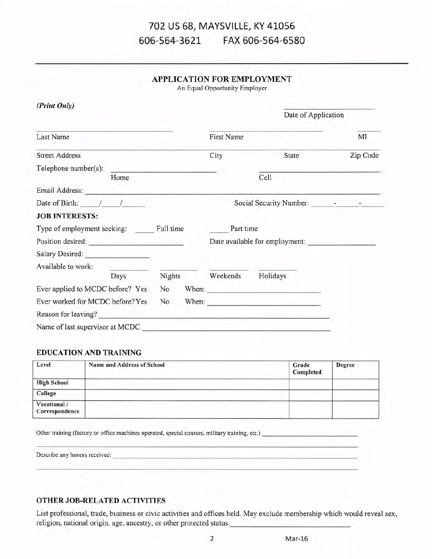#### 702 US 68, MAYSVILLE, KY 41056 606-564-3621 FAX 606-564-6580

## **APPLICATION FOR EMPLOYMENT**

An Equal Opportunity Employer

| (Print Only)                                                                                                                                                                                                                   |        |            |                                |          |
|--------------------------------------------------------------------------------------------------------------------------------------------------------------------------------------------------------------------------------|--------|------------|--------------------------------|----------|
|                                                                                                                                                                                                                                |        |            | Date of Application            |          |
| Last Name                                                                                                                                                                                                                      |        | First Name |                                | MI       |
| <b>Street Address</b>                                                                                                                                                                                                          |        | City       | State                          | Zip Code |
| Telephone number(s):                                                                                                                                                                                                           |        |            |                                |          |
| Home                                                                                                                                                                                                                           |        |            | Cell                           |          |
| Email Address: The Contract of the Contract of the Contract of the Contract of the Contract of the Contract of the Contract of the Contract of the Contract of the Contract of the Contract of the Contract of the Contract of |        |            |                                |          |
| Date of Birth: $\frac{1}{2}$                                                                                                                                                                                                   |        |            |                                |          |
| <b>JOB INTERESTS:</b>                                                                                                                                                                                                          |        |            |                                |          |
| Type of employment seeking: Full time                                                                                                                                                                                          |        | Part time  |                                |          |
| Position desired:                                                                                                                                                                                                              |        |            | Date available for employment: |          |
|                                                                                                                                                                                                                                |        |            |                                |          |
| Available to work:                                                                                                                                                                                                             |        |            |                                |          |
| Days                                                                                                                                                                                                                           | Nights | Weekends   | Holidays                       |          |
| Ever applied to MCDC before? Yes                                                                                                                                                                                               | No     |            | When:                          |          |
| Ever worked for MCDC before? Yes                                                                                                                                                                                               | No     |            | When: $\qquad \qquad$          |          |
| Reason for leaving?                                                                                                                                                                                                            |        |            |                                |          |
| Name of last supervisor at MCDC                                                                                                                                                                                                |        |            |                                |          |

### **EDUCATION AND TRAINING**

| Level                          | Name and Address of School | Grade<br>Completed | <b>Degree</b> |
|--------------------------------|----------------------------|--------------------|---------------|
| <b>High School</b>             |                            |                    |               |
| College                        |                            |                    |               |
| Vocational /<br>Correspondence |                            |                    |               |

Other training (factory or office machines operated, special courses, military training, etc.)

Describe any honors received:

#### OTHER JOB-RELATED ACTIVITIES

List professional, trade, business or civic activities and offices held. May exclude membership which would reveal sex, religion, national origin, age, ancestry, or other protected status.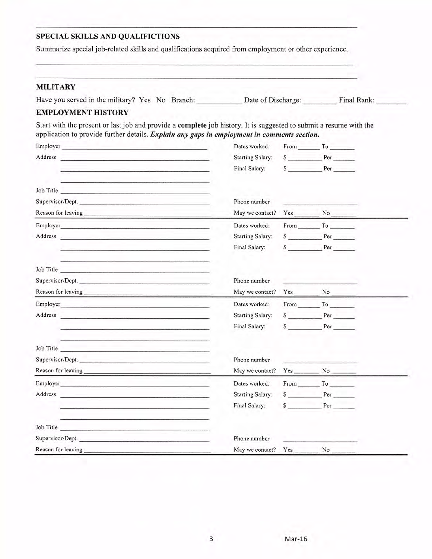## SPECIAL SKILLS AND QUALIFICTIONS

Summarize special job-related skills and qualifications acquired from employment or other experience.

## **MILITARY**

|  | Have you served in the military? Yes No Branch: |  |  |  | Date of Discharge: | Final Rank: |  |
|--|-------------------------------------------------|--|--|--|--------------------|-------------|--|
|--|-------------------------------------------------|--|--|--|--------------------|-------------|--|

#### **EMPLOYMENT HISTORY**

Start with the present or last job and provide a complete job history. It is suggested to submit a resume with the application to provide further details. Explain any gaps in employment in comments section.

| Employer                                                                                                                                                                                                                       | Dates worked:           | From To                                                     |  |
|--------------------------------------------------------------------------------------------------------------------------------------------------------------------------------------------------------------------------------|-------------------------|-------------------------------------------------------------|--|
| Address and the contract of the contract of the contract of the contract of the contract of the contract of the contract of the contract of the contract of the contract of the contract of the contract of the contract of th | <b>Starting Salary:</b> | \$ Per                                                      |  |
| the contract of the contract of the contract of the contract of the contract of the contract of the contract of                                                                                                                | Final Salary:           | S Per                                                       |  |
| the contract of the contract of the contract of the contract of the contract of the contract of<br>Job Title                                                                                                                   |                         |                                                             |  |
| Supervisor/Dept.                                                                                                                                                                                                               | Phone number            | the control of the control of the control of                |  |
|                                                                                                                                                                                                                                | May we contact?         | $Yes$ No $\qquad$                                           |  |
| Employer                                                                                                                                                                                                                       | Dates worked:           | From To                                                     |  |
| Address and the contract of the contract of the contract of the contract of the contract of the contract of the contract of the contract of the contract of the contract of the contract of the contract of the contract of th | <b>Starting Salary:</b> | S Per                                                       |  |
| the company of the company of the company of the company of the company of the company of the company of the company of the company of the company of the company of the company of the company of the company of the company  | Final Salary:           | S Per                                                       |  |
| Job Title                                                                                                                                                                                                                      |                         |                                                             |  |
| Supervisor/Dept.                                                                                                                                                                                                               | Phone number            |                                                             |  |
|                                                                                                                                                                                                                                | May we contact?         | $Yes$ No $\_\_\_\_\_\$                                      |  |
|                                                                                                                                                                                                                                | Dates worked:           | $From \_ To \_$                                             |  |
| Address and the contract of the contract of the contract of the contract of the contract of the contract of the contract of the contract of the contract of the contract of the contract of the contract of the contract of th | <b>Starting Salary:</b> | $S \t Per$                                                  |  |
| the company of the property of the company of the company of the company of                                                                                                                                                    | Final Salary:           | \$ Per                                                      |  |
| Job Title                                                                                                                                                                                                                      |                         |                                                             |  |
| Supervisor/Dept.                                                                                                                                                                                                               | Phone number            | <b><i>Contract Communication Contract Communication</i></b> |  |
|                                                                                                                                                                                                                                | May we contact?         | $Yes$ $No$                                                  |  |
|                                                                                                                                                                                                                                | Dates worked:           | From To                                                     |  |
| Address<br>design and the company of the company of the company of the company of the company of the company of the company of                                                                                                 | <b>Starting Salary:</b> | \$ Per                                                      |  |
|                                                                                                                                                                                                                                | Final Salary:           | $s$ Per                                                     |  |
| Job Title                                                                                                                                                                                                                      |                         |                                                             |  |
| Supervisor/Dept.                                                                                                                                                                                                               | Phone number            |                                                             |  |
| Reason for leaving                                                                                                                                                                                                             | May we contact?         | Yes No                                                      |  |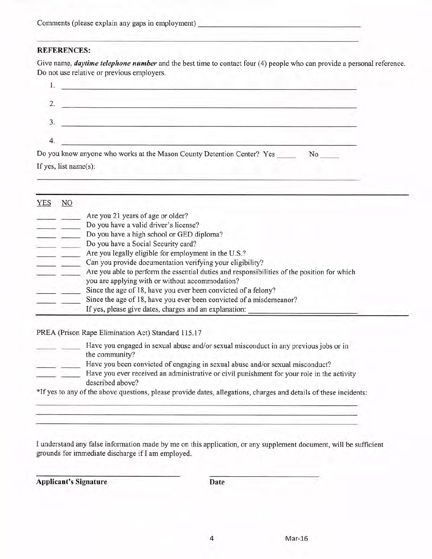| Comments (please explain any gaps in employment) |  |  |  |
|--------------------------------------------------|--|--|--|
|                                                  |  |  |  |

### **REFERENCES:**

Give name, *daytime telephone number* and the best time to contact four (4) people who can provide a personal reference. Do not use relative or previous employers.

| Do you know anyone who works at the Mason County Detention Center? Yes |  |
|------------------------------------------------------------------------|--|

If yes, list name(s):

| YES | NO |                                                                                             |  |
|-----|----|---------------------------------------------------------------------------------------------|--|
|     |    | Are you 21 years of age or older?                                                           |  |
|     |    | Do you have a valid driver's license?                                                       |  |
|     |    | Do you have a high school or GED diploma?                                                   |  |
|     |    | Do you have a Social Security card?                                                         |  |
|     |    | Are you legally eligible for employment in the U.S.?                                        |  |
|     |    | Can you provide documentation verifying your eligibility?                                   |  |
|     |    | Are you able to perform the essential duties and responsibilities of the position for which |  |
|     |    | you are applying with or without accommodation?                                             |  |
|     |    | Since the age of 18, have you ever been convicted of a felony?                              |  |
|     |    | Since the age of 18, have you ever been convicted of a misdemeanor?                         |  |
|     |    | If yes, please give dates, charges and an explanation:                                      |  |

PREA (Prison Rape Elimination Act) Standard 115.17

| Have you engaged in sexual abuse and/or sexual misconduct in any previous jobs or in<br>the community? |
|--------------------------------------------------------------------------------------------------------|
| Have you been convicted of engaging in sexual abuse and/or sexual misconduct?                          |
| Have you ever received an administrative or civil punishment for your role in the activity             |
| described above?                                                                                       |

\*If yes to any of the above questions, please provide dates, allegations, charges and details of these incidents:

I understand any false information made by me on this application, or any supplement document, will be sufficient grounds for immediate discharge if I am employed.

**Applicant's Signature** 

Date

4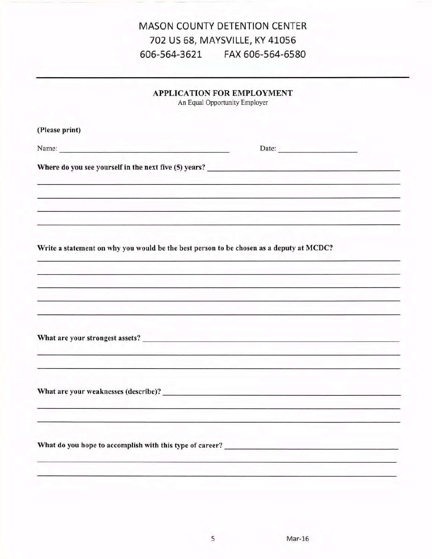## **MASON COUNTY DETENTION CENTER** 702 US 68, MAYSVILLE, KY 41056 606-564-3621 FAX 606-564-6580

|                                      | <b>APPLICATION FOR EMPLOYMENT</b><br>An Equal Opportunity Employer                                              |
|--------------------------------------|-----------------------------------------------------------------------------------------------------------------|
| (Please print)                       |                                                                                                                 |
| Name: Name:                          |                                                                                                                 |
|                                      |                                                                                                                 |
|                                      | the contract of the contract of the contract of the contract of the contract of the contract of the contract of |
|                                      | Write a statement on why you would be the best person to be chosen as a deputy at MCDC?                         |
|                                      |                                                                                                                 |
|                                      | What are your strongest assets?                                                                                 |
|                                      |                                                                                                                 |
| What are your weaknesses (describe)? |                                                                                                                 |
|                                      |                                                                                                                 |
|                                      |                                                                                                                 |